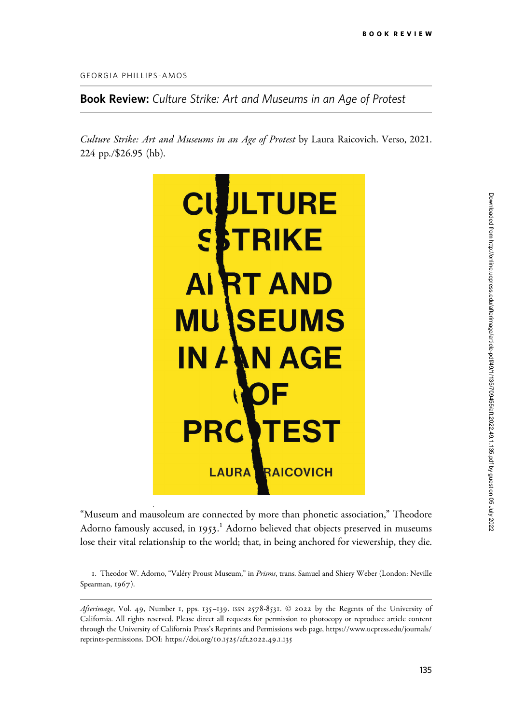GEORGIA PHILLIPS-AMOS

Book Review: Culture Strike: Art and Museums in an Age of Protest

Culture Strike: Art and Museums in an Age of Protest by Laura Raicovich. Verso, 2021. 224 pp./\$26.95 (hb).



"Museum and mausoleum are connected by more than phonetic association," Theodore Adorno famously accused, in 1953.<sup>1</sup> Adorno believed that objects preserved in museums lose their vital relationship to the world; that, in being anchored for viewership, they die.

1. Theodor W. Adorno, "Valéry Proust Museum," in Prisms, trans. Samuel and Shiery Weber (London: Neville Spearman, 1967).

Afterimage, Vol. 49, Number 1, pps. 135-139. ISSN 2578-8531. © 2022 by the Regents of the University of California. All rights reserved. Please direct all requests for permission to photocopy or reproduce article content through the University of California Press's Reprints and Permissions web page, [https://www.ucpress.edu/journals/](https://www.ucpress.edu/journals/reprints-permissions) [reprints-permissions](https://www.ucpress.edu/journals/reprints-permissions). [DOI: https://doi.org/](https://doi.org/10.1525/aft.2022.49.1.135)10.1525/aft.2022.49.1.135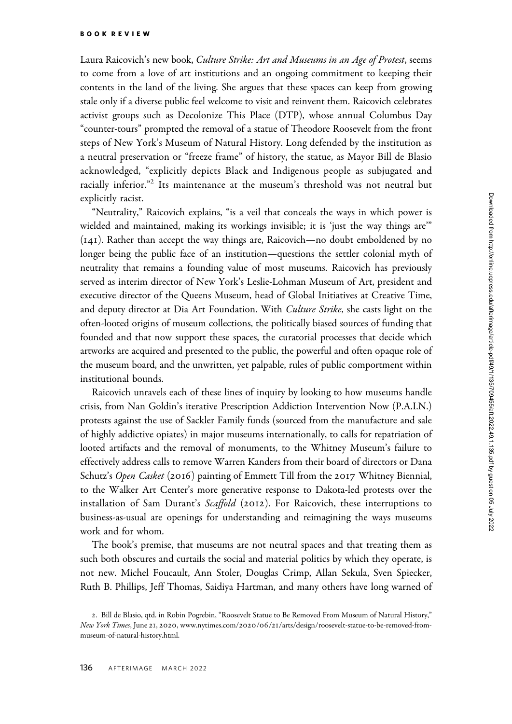Laura Raicovich's new book, Culture Strike: Art and Museums in an Age of Protest, seems to come from a love of art institutions and an ongoing commitment to keeping their contents in the land of the living. She argues that these spaces can keep from growing stale only if a diverse public feel welcome to visit and reinvent them. Raicovich celebrates activist groups such as Decolonize This Place (DTP), whose annual Columbus Day "counter-tours" prompted the removal of a statue of Theodore Roosevelt from the front steps of New York's Museum of Natural History. Long defended by the institution as a neutral preservation or "freeze frame" of history, the statue, as Mayor Bill de Blasio acknowledged, "explicitly depicts Black and Indigenous people as subjugated and racially inferior."<sup>2</sup> Its maintenance at the museum's threshold was not neutral but explicitly racist.

"Neutrality," Raicovich explains, "is a veil that conceals the ways in which power is wielded and maintained, making its workings invisible; it is 'just the way things are'" (141). Rather than accept the way things are, Raicovich—no doubt emboldened by no longer being the public face of an institution—questions the settler colonial myth of neutrality that remains a founding value of most museums. Raicovich has previously served as interim director of New York's Leslie-Lohman Museum of Art, president and executive director of the Queens Museum, head of Global Initiatives at Creative Time, and deputy director at Dia Art Foundation. With Culture Strike, she casts light on the often-looted origins of museum collections, the politically biased sources of funding that founded and that now support these spaces, the curatorial processes that decide which artworks are acquired and presented to the public, the powerful and often opaque role of the museum board, and the unwritten, yet palpable, rules of public comportment within institutional bounds.

Raicovich unravels each of these lines of inquiry by looking to how museums handle crisis, from Nan Goldin's iterative Prescription Addiction Intervention Now (P.A.I.N.) protests against the use of Sackler Family funds (sourced from the manufacture and sale of highly addictive opiates) in major museums internationally, to calls for repatriation of looted artifacts and the removal of monuments, to the Whitney Museum's failure to effectively address calls to remove Warren Kanders from their board of directors or Dana Schutz's Open Casket (2016) painting of Emmett Till from the 2017 Whitney Biennial, to the Walker Art Center's more generative response to Dakota-led protests over the installation of Sam Durant's Scaffold (2012). For Raicovich, these interruptions to business-as-usual are openings for understanding and reimagining the ways museums work and for whom.

The book's premise, that museums are not neutral spaces and that treating them as such both obscures and curtails the social and material politics by which they operate, is not new. Michel Foucault, Ann Stoler, Douglas Crimp, Allan Sekula, Sven Spiecker, Ruth B. Phillips, Jeff Thomas, Saidiya Hartman, and many others have long warned of

<sup>2</sup>. Bill de Blasio, qtd. in Robin Pogrebin, "Roosevelt Statue to Be Removed From Museum of Natural History," New York Times, June 21, 2020, www.nytimes.com/2020/06/21[/arts/design/roosevelt-statue-to-be-removed-from](www.nytimes.com/2020/06/21/arts/design/roosevelt-statue-to-be-removed-from-museum-of-natural-history.html)[museum-of-natural-history.html.](www.nytimes.com/2020/06/21/arts/design/roosevelt-statue-to-be-removed-from-museum-of-natural-history.html)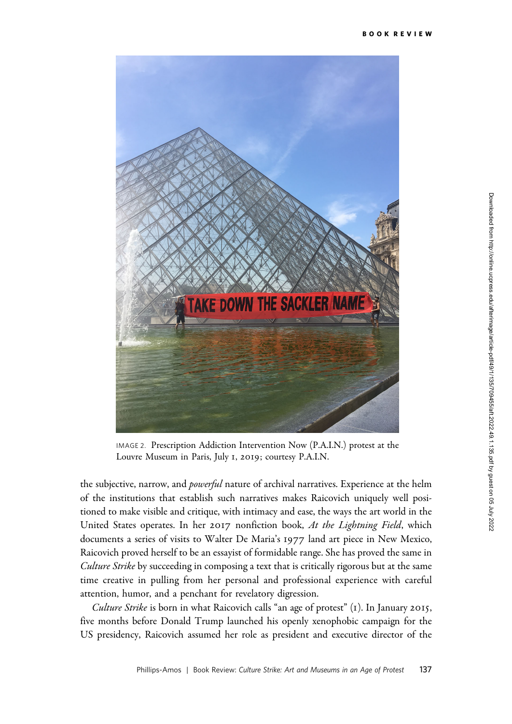

IMAGE 2. Prescription Addiction Intervention Now (P.A.I.N.) protest at the Louvre Museum in Paris, July 1, 2019; courtesy P.A.I.N.

the subjective, narrow, and *powerful* nature of archival narratives. Experience at the helm of the institutions that establish such narratives makes Raicovich uniquely well positioned to make visible and critique, with intimacy and ease, the ways the art world in the United States operates. In her 2017 nonfiction book, At the Lightning Field, which documents a series of visits to Walter De Maria's 1977 land art piece in New Mexico, Raicovich proved herself to be an essayist of formidable range. She has proved the same in Culture Strike by succeeding in composing a text that is critically rigorous but at the same time creative in pulling from her personal and professional experience with careful attention, humor, and a penchant for revelatory digression.

Culture Strike is born in what Raicovich calls "an age of protest" (1). In January 2015, five months before Donald Trump launched his openly xenophobic campaign for the US presidency, Raicovich assumed her role as president and executive director of the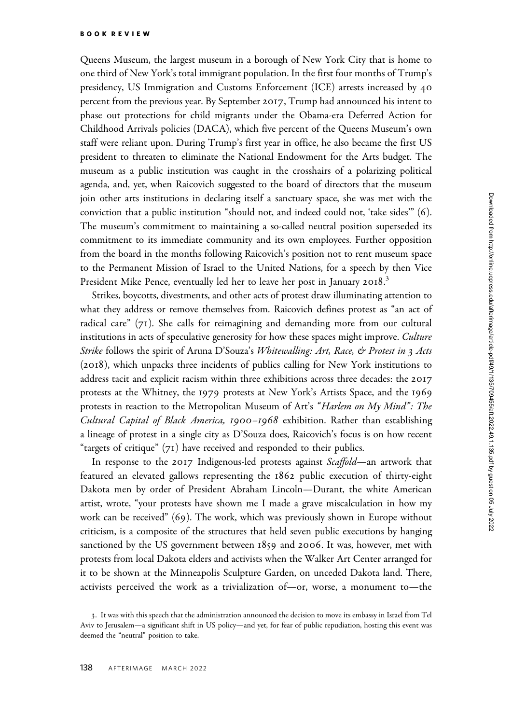Queens Museum, the largest museum in a borough of New York City that is home to one third of New York's total immigrant population. In the first four months of Trump's presidency, US Immigration and Customs Enforcement (ICE) arrests increased by 40 percent from the previous year. By September 2017, Trump had announced his intent to phase out protections for child migrants under the Obama-era Deferred Action for Childhood Arrivals policies (DACA), which five percent of the Queens Museum's own staff were reliant upon. During Trump's first year in office, he also became the first US president to threaten to eliminate the National Endowment for the Arts budget. The museum as a public institution was caught in the crosshairs of a polarizing political agenda, and, yet, when Raicovich suggested to the board of directors that the museum join other arts institutions in declaring itself a sanctuary space, she was met with the conviction that a public institution "should not, and indeed could not, 'take sides'" (6). The museum's commitment to maintaining a so-called neutral position superseded its commitment to its immediate community and its own employees. Further opposition from the board in the months following Raicovich's position not to rent museum space to the Permanent Mission of Israel to the United Nations, for a speech by then Vice President Mike Pence, eventually led her to leave her post in January 2018.<sup>3</sup>

Strikes, boycotts, divestments, and other acts of protest draw illuminating attention to what they address or remove themselves from. Raicovich defines protest as "an act of radical care" (71). She calls for reimagining and demanding more from our cultural institutions in acts of speculative generosity for how these spaces might improve. Culture Strike follows the spirit of Aruna D'Souza's Whitewalling: Art, Race, & Protest in 3 Acts (2018), which unpacks three incidents of publics calling for New York institutions to address tacit and explicit racism within three exhibitions across three decades: the 2017 protests at the Whitney, the 1979 protests at New York's Artists Space, and the 1969 protests in reaction to the Metropolitan Museum of Art's "Harlem on My Mind": The Cultural Capital of Black America, 1900–1968 exhibition. Rather than establishing a lineage of protest in a single city as D'Souza does, Raicovich's focus is on how recent "targets of critique" (71) have received and responded to their publics.

In response to the 2017 Indigenous-led protests against *Scaffold*—an artwork that featured an elevated gallows representing the 1862 public execution of thirty-eight Dakota men by order of President Abraham Lincoln—Durant, the white American artist, wrote, "your protests have shown me I made a grave miscalculation in how my work can be received" (69). The work, which was previously shown in Europe without criticism, is a composite of the structures that held seven public executions by hanging sanctioned by the US government between 1859 and 2006. It was, however, met with protests from local Dakota elders and activists when the Walker Art Center arranged for it to be shown at the Minneapolis Sculpture Garden, on unceded Dakota land. There, activists perceived the work as a trivialization of—or, worse, a monument to—the

<sup>3</sup>. It was with this speech that the administration announced the decision to move its embassy in Israel from Tel Aviv to Jerusalem—a significant shift in US policy—and yet, for fear of public repudiation, hosting this event was deemed the "neutral" position to take.